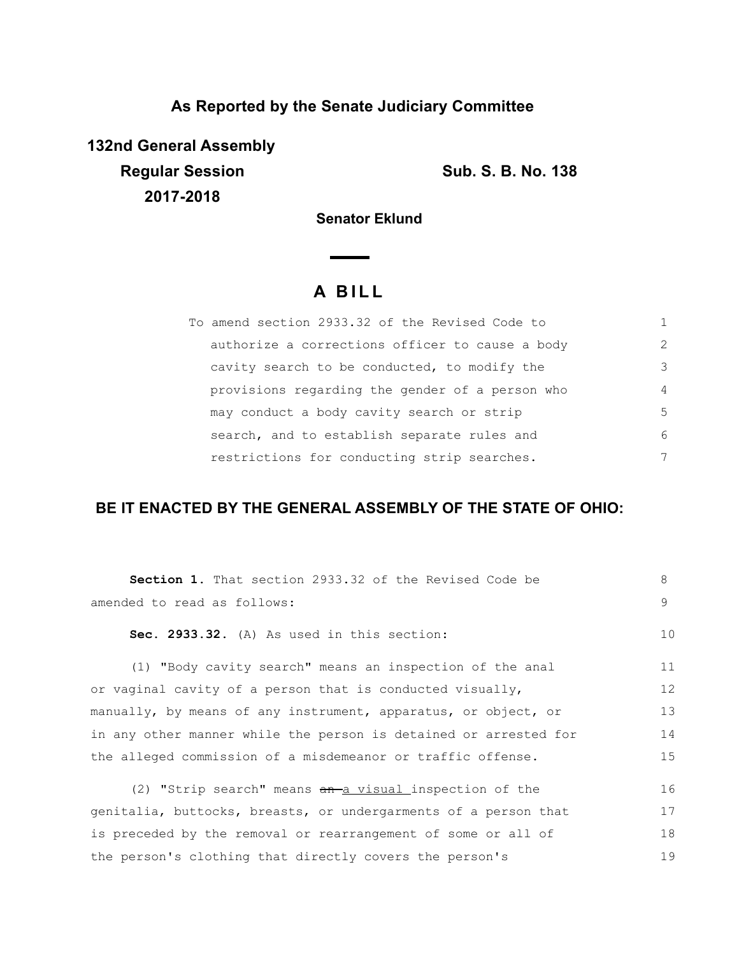## **As Reported by the Senate Judiciary Committee**

**132nd General Assembly Regular Session Sub. S. B. No. 138 2017-2018**

**Senator Eklund**

# **A B I L L**

| To amend section 2933.32 of the Revised Code to |               |
|-------------------------------------------------|---------------|
| authorize a corrections officer to cause a body | $\mathcal{L}$ |
| cavity search to be conducted, to modify the    | 3             |
| provisions regarding the gender of a person who | 4             |
| may conduct a body cavity search or strip       | 5             |
| search, and to establish separate rules and     | 6             |
| restrictions for conducting strip searches.     | 7             |

## **BE IT ENACTED BY THE GENERAL ASSEMBLY OF THE STATE OF OHIO:**

| <b>Section 1.</b> That section 2933.32 of the Revised Code be    | 8  |
|------------------------------------------------------------------|----|
| amended to read as follows:                                      |    |
| Sec. 2933.32. (A) As used in this section:                       | 10 |
| (1) "Body cavity search" means an inspection of the anal         | 11 |
| or vaginal cavity of a person that is conducted visually,        | 12 |
| manually, by means of any instrument, apparatus, or object, or   | 13 |
| in any other manner while the person is detained or arrested for | 14 |
| the alleged commission of a misdemeanor or traffic offense.      |    |
| (2) "Strip search" means an a visual inspection of the           | 16 |
| genitalia, buttocks, breasts, or undergarments of a person that  | 17 |
| is preceded by the removal or rearrangement of some or all of    | 18 |
| the person's clothing that directly covers the person's          | 19 |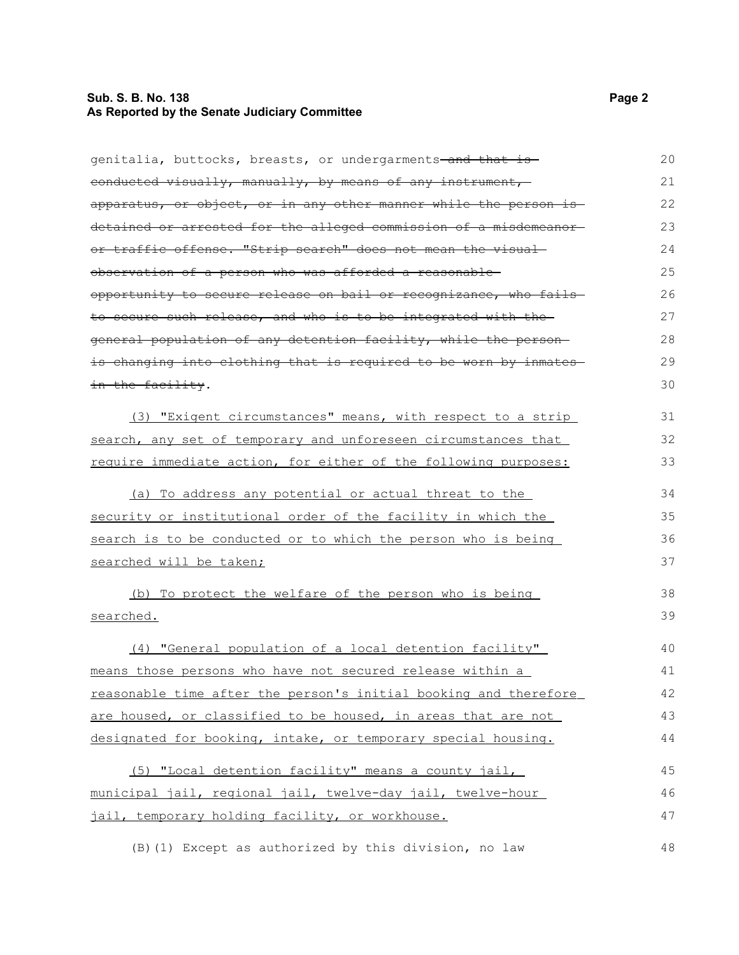### **Sub. S. B. No. 138 Page 2 As Reported by the Senate Judiciary Committee**

| genitalia, buttocks, breasts, or undergarments <del> and that is</del> | 20 |
|------------------------------------------------------------------------|----|
| eonducted visually, manually, by means of any instrument,              | 21 |
| apparatus, or object, or in any other manner while the person is       | 22 |
| detained or arrested for the alleged commission of a misdemeanor-      | 23 |
| or traffic offense. "Strip search" does not mean the visual-           | 24 |
| observation of a person who was afforded a reasonable-                 | 25 |
| opportunity to secure release on bail or recognizance, who fails       | 26 |
| to secure such release, and who is to be integrated with the           | 27 |
| general population of any detention facility, while the person-        | 28 |
| is changing into clothing that is required to be worn by inmates       | 29 |
| in the facility.                                                       | 30 |
| (3) "Exigent circumstances" means, with respect to a strip             | 31 |
| search, any set of temporary and unforeseen circumstances that         | 32 |
| require immediate action, for either of the following purposes:        | 33 |
| (a) To address any potential or actual threat to the                   | 34 |
| security or institutional order of the facility in which the           | 35 |
| search is to be conducted or to which the person who is being          | 36 |
| searched will be taken;                                                | 37 |
| (b) To protect the welfare of the person who is being                  | 38 |
| searched.                                                              | 39 |
| (4) "General population of a local detention facility"                 | 40 |
| means those persons who have not secured release within a              | 41 |
| reasonable time after the person's initial booking and therefore       | 42 |
| are housed, or classified to be housed, in areas that are not          | 43 |
| designated for booking, intake, or temporary special housing.          | 44 |
| (5) "Local detention facility" means a county jail,                    | 45 |
| municipal jail, regional jail, twelve-day jail, twelve-hour            | 46 |
| jail, temporary holding facility, or workhouse.                        | 47 |
| (B) (1) Except as authorized by this division, no law                  | 48 |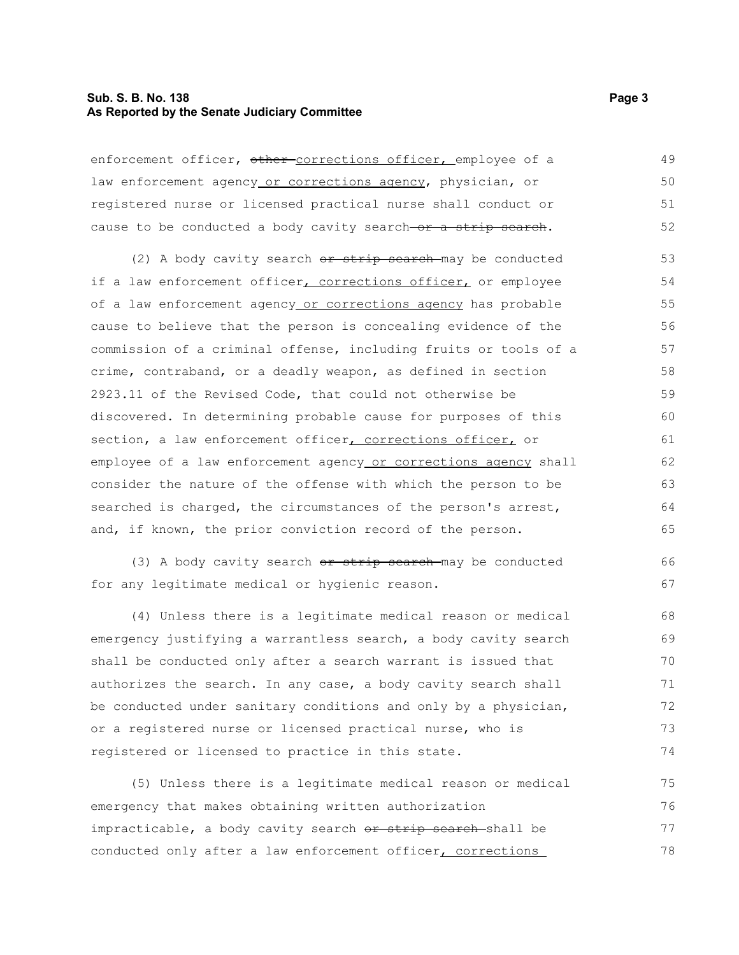#### **Sub. S. B. No. 138 Page 3 As Reported by the Senate Judiciary Committee**

enforcement officer, other corrections officer, employee of a law enforcement agency or corrections agency, physician, or registered nurse or licensed practical nurse shall conduct or cause to be conducted a body cavity search-or a strip search. 49 50 51 52

(2) A body cavity search or strip search may be conducted if a law enforcement officer, corrections officer, or employee of a law enforcement agency or corrections agency has probable cause to believe that the person is concealing evidence of the commission of a criminal offense, including fruits or tools of a crime, contraband, or a deadly weapon, as defined in section 2923.11 of the Revised Code, that could not otherwise be discovered. In determining probable cause for purposes of this section, a law enforcement officer, corrections officer, or employee of a law enforcement agency or corrections agency shall consider the nature of the offense with which the person to be searched is charged, the circumstances of the person's arrest, and, if known, the prior conviction record of the person. 53 54 55 56 57 58 59 60 61 62 63 64 65

(3) A body cavity search  $or$  strip search may be conducted for any legitimate medical or hygienic reason. 66 67

(4) Unless there is a legitimate medical reason or medical emergency justifying a warrantless search, a body cavity search shall be conducted only after a search warrant is issued that authorizes the search. In any case, a body cavity search shall be conducted under sanitary conditions and only by a physician, or a registered nurse or licensed practical nurse, who is registered or licensed to practice in this state. 68 69 70 71 72 73 74

(5) Unless there is a legitimate medical reason or medical emergency that makes obtaining written authorization impracticable, a body cavity search or strip search shall be conducted only after a law enforcement officer, corrections 75 76 77 78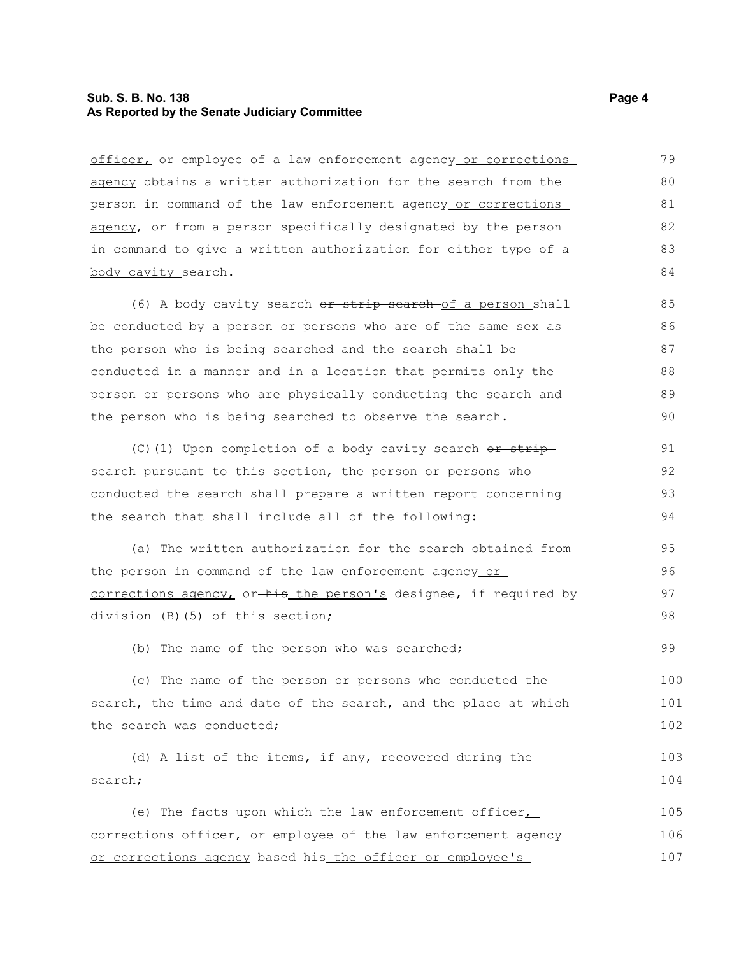#### **Sub. S. B. No. 138 Page 4 As Reported by the Senate Judiciary Committee**

officer, or employee of a law enforcement agency or corrections agency obtains a written authorization for the search from the person in command of the law enforcement agency or corrections agency, or from a person specifically designated by the person in command to give a written authorization for either type of a body cavity search. 79 80 81 82 83 84

(6) A body cavity search or strip search of a person shall be conducted by a person or persons who are of the same sex asthe person who is being searched and the search shall be conducted in a manner and in a location that permits only the person or persons who are physically conducting the search and the person who is being searched to observe the search. 85 86 87 88 89 90

(C)(1) Upon completion of a body cavity search  $\theta$ r strip search-pursuant to this section, the person or persons who conducted the search shall prepare a written report concerning the search that shall include all of the following:

(a) The written authorization for the search obtained from the person in command of the law enforcement agency or corrections agency, or-his the person's designee, if required by division (B)(5) of this section; 95 96 97

(b) The name of the person who was searched;

(c) The name of the person or persons who conducted the search, the time and date of the search, and the place at which the search was conducted; 100 101 102

(d) A list of the items, if any, recovered during the search; 103 104

(e) The facts upon which the law enforcement officer, corrections officer, or employee of the law enforcement agency or corrections agency based-his the officer or employee's 105 106 107

98

99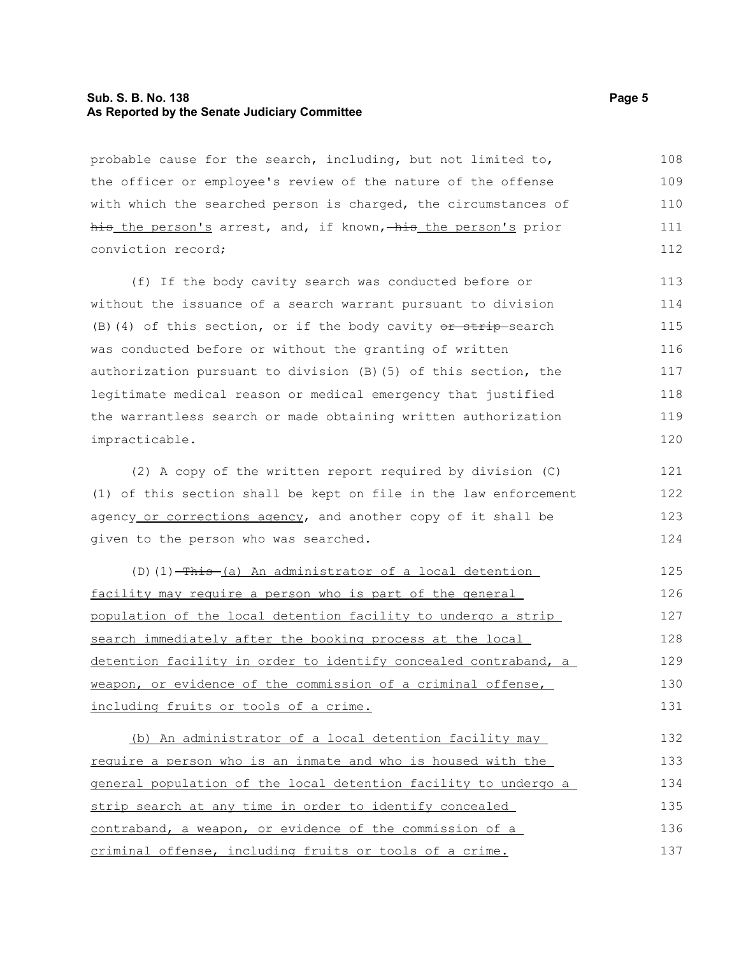#### **Sub. S. B. No. 138 Page 5 As Reported by the Senate Judiciary Committee**

probable cause for the search, including, but not limited to, the officer or employee's review of the nature of the offense with which the searched person is charged, the circumstances of his the person's arrest, and, if known, his the person's prior conviction record; 108 109 110 111 112

(f) If the body cavity search was conducted before or without the issuance of a search warrant pursuant to division (B)(4) of this section, or if the body cavity  $or$  strip search was conducted before or without the granting of written authorization pursuant to division (B)(5) of this section, the legitimate medical reason or medical emergency that justified the warrantless search or made obtaining written authorization impracticable. 113 114 115 116 117 118 119 120

(2) A copy of the written report required by division (C) (1) of this section shall be kept on file in the law enforcement agency or corrections agency, and another copy of it shall be given to the person who was searched.

(D)(1)  $-\text{This}$  (a) An administrator of a local detention facility may require a person who is part of the general population of the local detention facility to undergo a strip search immediately after the booking process at the local detention facility in order to identify concealed contraband, a weapon, or evidence of the commission of a criminal offense, including fruits or tools of a crime. 125 126 127 128 129 130 131

(b) An administrator of a local detention facility may require a person who is an inmate and who is housed with the general population of the local detention facility to undergo a strip search at any time in order to identify concealed contraband, a weapon, or evidence of the commission of a criminal offense, including fruits or tools of a crime. 132 133 134 135 136 137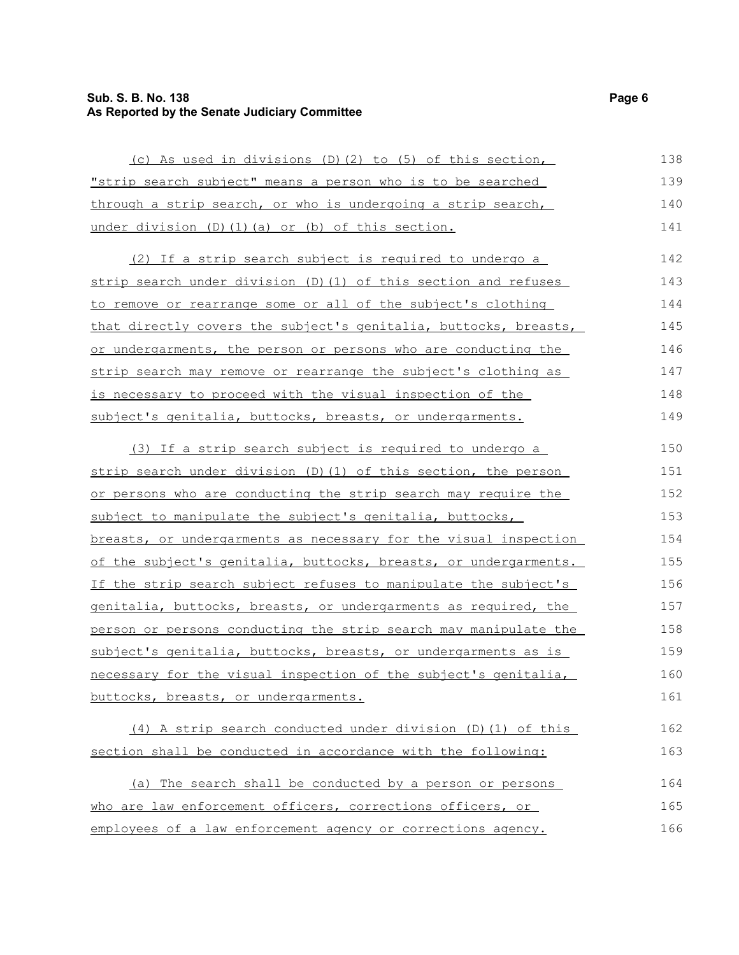## **Sub. S. B. No. 138 Page 6 As Reported by the Senate Judiciary Committee**

| (c) As used in divisions (D)(2) to (5) of this section,          | 138 |
|------------------------------------------------------------------|-----|
| "strip search subject" means a person who is to be searched      | 139 |
| through a strip search, or who is undergoing a strip search,     | 140 |
| under division (D) (1) (a) or (b) of this section.               | 141 |
| (2) If a strip search subject is required to undergo a           | 142 |
| strip search under division (D) (1) of this section and refuses  | 143 |
| to remove or rearrange some or all of the subject's clothing     | 144 |
| that directly covers the subject's genitalia, buttocks, breasts, | 145 |
| or undergarments, the person or persons who are conducting the   | 146 |
| strip search may remove or rearrange the subject's clothing as   | 147 |
| is necessary to proceed with the visual inspection of the        | 148 |
| subject's genitalia, buttocks, breasts, or undergarments.        | 149 |
| (3) If a strip search subject is required to undergo a           | 150 |
| strip search under division (D) (1) of this section, the person  | 151 |
| or persons who are conducting the strip search may require the   | 152 |
| subject to manipulate the subject's genitalia, buttocks,         | 153 |
| breasts, or undergarments as necessary for the visual inspection | 154 |
| of the subject's genitalia, buttocks, breasts, or undergarments. | 155 |
| If the strip search subject refuses to manipulate the subject's  | 156 |
| genitalia, buttocks, breasts, or undergarments as required, the  | 157 |
| person or persons conducting the strip search may manipulate the | 158 |
| subject's genitalia, buttocks, breasts, or undergarments as is   | 159 |
| necessary for the visual inspection of the subject's genitalia,  | 160 |
| buttocks, breasts, or undergarments.                             | 161 |
| (4) A strip search conducted under division (D) (1) of this      | 162 |
| section shall be conducted in accordance with the following:     | 163 |
| (a) The search shall be conducted by a person or persons         | 164 |
| who are law enforcement officers, corrections officers, or       | 165 |
| employees of a law enforcement agency or corrections agency.     | 166 |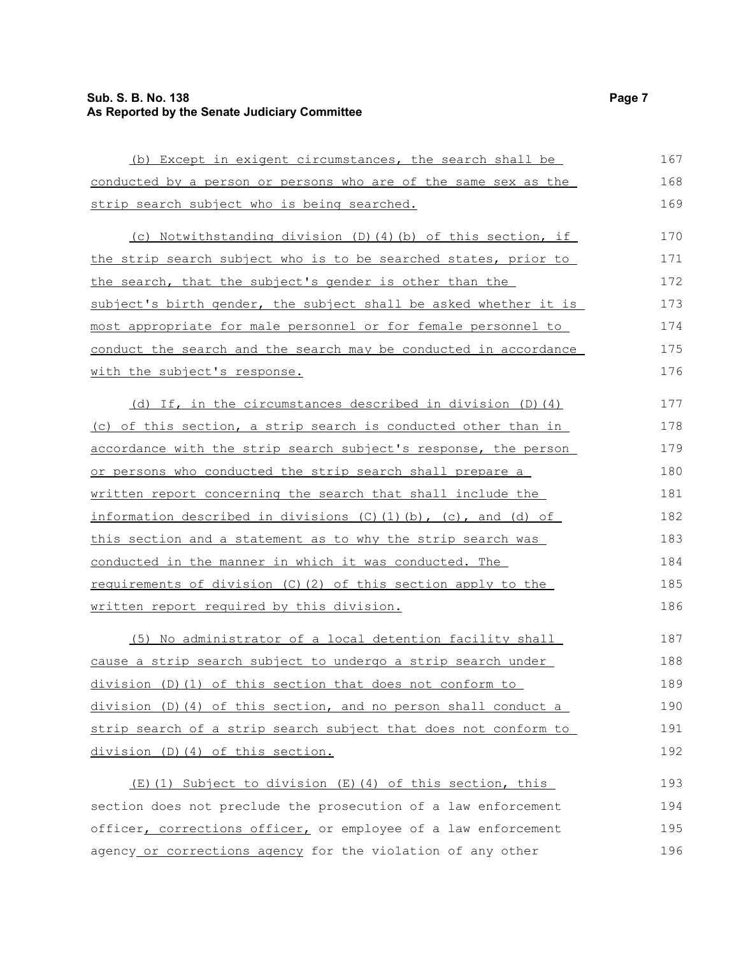## **Sub. S. B. No. 138 Page 7 As Reported by the Senate Judiciary Committee**

| (b) Except in exigent circumstances, the search shall be                    | 167 |
|-----------------------------------------------------------------------------|-----|
| conducted by a person or persons who are of the same sex as the             | 168 |
| strip search subject who is being searched.                                 | 169 |
| (c) Notwithstanding division (D)(4)(b) of this section, if                  | 170 |
| the strip search subject who is to be searched states, prior to             | 171 |
| the search, that the subject's gender is other than the                     | 172 |
| subject's birth gender, the subject shall be asked whether it is            | 173 |
| most appropriate for male personnel or for female personnel to              | 174 |
| conduct the search and the search may be conducted in accordance            | 175 |
| with the subject's response.                                                | 176 |
| (d) If, in the circumstances described in division (D) (4)                  | 177 |
| (c) of this section, a strip search is conducted other than in              | 178 |
| accordance with the strip search subject's response, the person             | 179 |
| or persons who conducted the strip search shall prepare a                   | 180 |
| written report concerning the search that shall include the                 | 181 |
| information described in divisions $(C)$ $(1)$ $(b)$ , $(c)$ , and $(d)$ of | 182 |
| <u>this section and a statement as to why the strip search was</u>          | 183 |
| conducted in the manner in which it was conducted. The                      | 184 |
| requirements of division (C) (2) of this section apply to the               | 185 |
| written report required by this division.                                   | 186 |
| (5) No administrator of a local detention facility shall                    | 187 |
| cause a strip search subject to undergo a strip search under                | 188 |
| division (D) (1) of this section that does not conform to                   | 189 |
| $division (D) (4) of this section, and no person shall conduct a$           | 190 |
| strip search of a strip search subject that does not conform to             | 191 |
| division (D) (4) of this section.                                           | 192 |
| (E)(1) Subject to division (E)(4) of this section, this                     | 193 |
| section does not preclude the prosecution of a law enforcement              | 194 |
| officer, corrections officer, or employee of a law enforcement              | 195 |
| agency or corrections agency for the violation of any other                 | 196 |